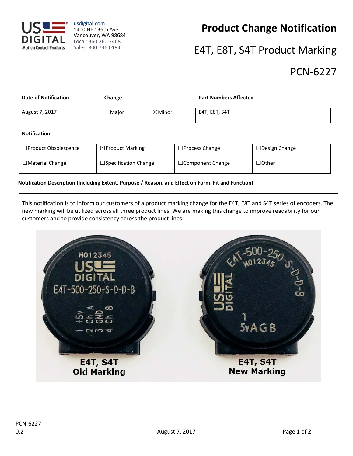

usdigital.com 1400 NE 136th Ave. Vancouver, WA 98684 Local: 360.260.2468 Sales: 800.736.0194

# **Product Change Notification**

# E4T, E8T, S4T Product Marking

### PCN‐6227

| <b>Date of Notification</b> | Change       |                   | <b>Part Numbers Affected</b> |
|-----------------------------|--------------|-------------------|------------------------------|
| August 7, 2017              | $\Box$ Major | $\boxtimes$ Minor | E4T, E8T, S4T                |

#### **Notification**

| $\Box$ Product Obsolescence | $\boxtimes$ Product Marking | $\Box$ Process Change   | $\Box$ Design Change |
|-----------------------------|-----------------------------|-------------------------|----------------------|
| $\Box$ Material Change      | □Specification Change       | $\Box$ Component Change | $\lrcorner$ Other    |

#### **Notification Description (Including Extent, Purpose / Reason, and Effect on Form, Fit and Function)**

This notification is to inform our customers of a product marking change for the E4T, E8T and S4T series of encoders. The new marking will be utilized across all three product lines. We are making this change to improve readability for our customers and to provide consistency across the product lines.